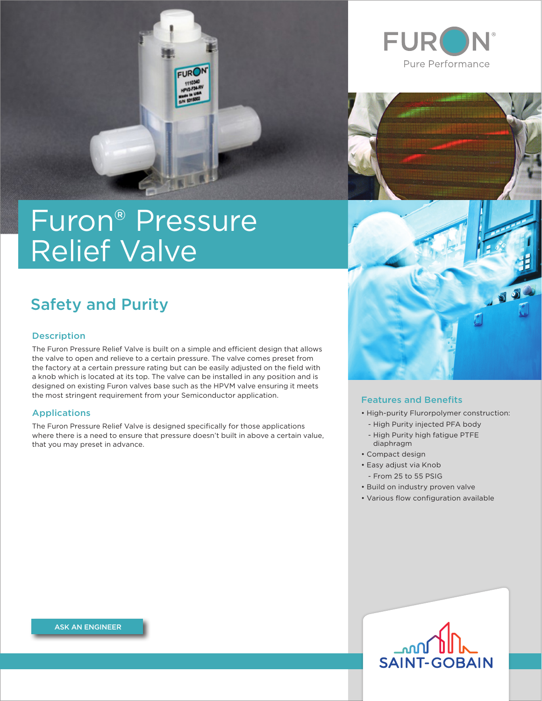

# Furon® Pressure Relief Valve

# Safety and Purity

# **Description**

The Furon Pressure Relief Valve is built on a simple and efficient design that allows the valve to open and relieve to a certain pressure. The valve comes preset from the factory at a certain pressure rating but can be easily adjusted on the field with a knob which is located at its top. The valve can be installed in any position and is designed on existing Furon valves base such as the HPVM valve ensuring it meets the most stringent requirement from your Semiconductor application.

### Applications

The Furon Pressure Relief Valve is designed specifically for those applications where there is a need to ensure that pressure doesn't built in above a certain value, that you may preset in advance.







### Features and Benefits

- High-purity Flurorpolymer construction:
	- High Purity injected PFA body
	- High Purity high fatigue PTFE diaphragm
- Compact design
- Easy adjust via Knob - From 25 to 55 PSIG
	-
- Build on industry proven valve • Various flow configuration available

 $\text{Im}\Omega$ **SAINT-GOBAIN** 

[ASK AN ENGINEER](https://www.processsystems.saint-gobain.com/contact-us?utm_source=pdf&utm_medium=button&utm_campaign=hps_all_datasheets#nav:tab-form-ask)